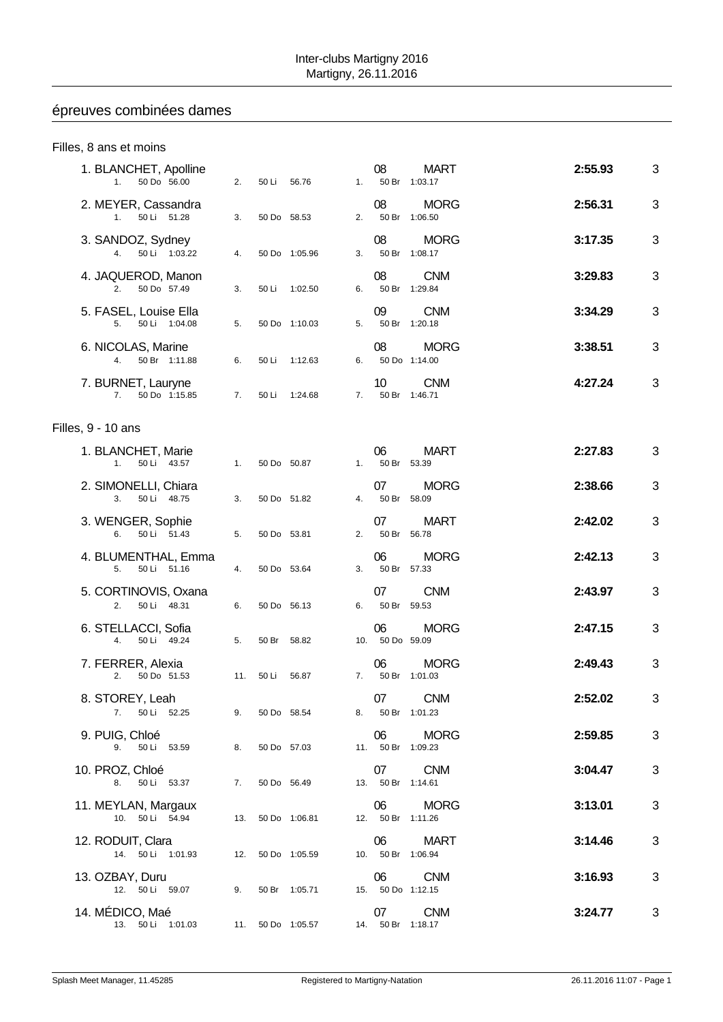## épreuves combinées dames

## Filles, 8 ans et moins

| 1.                          | 50 Do 56.00     | 1. BLANCHET, Apolline | 2.  | 50 Li 56.76 |                   | 1. | 08                         | <b>MART</b><br>50 Br 1:03.17 | 2:55.93 | 3          |
|-----------------------------|-----------------|-----------------------|-----|-------------|-------------------|----|----------------------------|------------------------------|---------|------------|
| 2. MEYER, Cassandra<br>1.   | 50 Li 51.28     |                       | 3.  | 50 Do 58.53 |                   | 2. | 08                         | <b>MORG</b><br>50 Br 1:06.50 | 2:56.31 | 3          |
| 3. SANDOZ, Sydney<br>4.     |                 | 50 Li 1:03.22         | 4.  |             | 50 Do 1:05.96     | 3. | 08                         | <b>MORG</b><br>50 Br 1:08.17 | 3:17.35 | 3          |
| 4. JAQUEROD, Manon<br>2.    | 50 Do 57.49     |                       | 3.  |             | 50 Li 1:02.50     | 6. | 08                         | <b>CNM</b><br>50 Br 1:29.84  | 3:29.83 | 3          |
| 5. FASEL, Louise Ella<br>5. |                 | 50 Li 1:04.08         | 5.  |             | 50 Do 1:10.03     | 5. | 09                         | <b>CNM</b><br>50 Br 1:20.18  | 3:34.29 | 3          |
| 6. NICOLAS, Marine<br>4.    |                 | 50 Br 1:11.88         | 6.  |             | 50 Li 1:12.63     |    | 08<br>6. 50 Do 1:14.00     | <b>MORG</b>                  | 3:38.51 | 3          |
| 7. BURNET, Lauryne<br>7.    |                 | 50 Do 1:15.85         | 7.  | 50 Li       | 1:24.68           | 7. | 10                         | <b>CNM</b><br>50 Br 1:46.71  | 4:27.24 | 3          |
| Filles, 9 - 10 ans          |                 |                       |     |             |                   |    |                            |                              |         |            |
| 1. BLANCHET, Marie<br>1.    | 50 Li 43.57     |                       | 1.  | 50 Do 50.87 |                   | 1. | 06<br>50 Br 53.39          | <b>MART</b>                  | 2:27.83 | 3          |
| 2. SIMONELLI, Chiara<br>3.  | 50 Li 48.75     |                       | 3.  | 50 Do 51.82 |                   | 4. | 07<br>50 Br 58.09          | <b>MORG</b>                  | 2:38.66 | 3          |
| 3. WENGER, Sophie<br>6.     | 50 Li 51.43     |                       | 5.  | 50 Do 53.81 |                   | 2. | 07<br>50 Br 56.78          | <b>MART</b>                  | 2:42.02 | 3          |
| 5.                          | 50 Li 51.16     | 4. BLUMENTHAL, Emma   | 4.  | 50 Do 53.64 |                   |    | 06<br>3. 50 Br 57.33       | <b>MORG</b>                  | 2:42.13 | 3          |
| 2.                          | 50 Li 48.31     | 5. CORTINOVIS, Oxana  | 6.  | 50 Do 56.13 |                   | 6. | 07<br>50 Br 59.53          | <b>CNM</b>                   | 2:43.97 | 3          |
| 6. STELLACCI, Sofia<br>4.   | 50 Li 49.24     |                       | 5.  | 50 Br 58.82 |                   |    | 06<br>10. 50 Do 59.09      | <b>MORG</b>                  | 2:47.15 | 3          |
| 7. FERRER, Alexia<br>2.     | 50 Do 51.53     |                       |     | 11. 50 Li   | 56.87             | 7. | 06                         | <b>MORG</b><br>50 Br 1:01.03 | 2:49.43 | 3          |
| 8. STOREY, Leah             | 7. 50 Li 52.25  |                       | 9.  | 50 Do 58.54 |                   |    | 07<br>8. 50 Br 1:01.23     | <b>CNM</b>                   | 2:52.02 | 3          |
| 9. PUIG, Chloé              | 9. 50 Li 53.59  |                       |     |             | 8. 50 Do 57.03    |    | 06<br>11. 50 Br 1:09.23    | <b>MORG</b>                  | 2:59.85 | 3          |
| 10. PROZ, Chloé             |                 | 8. 50 Li 53.37        | 7.  | 50 Do 56.49 |                   |    | 13. 50 Br 1:14.61          | 07 CNM                       | 3:04.47 | $\sqrt{3}$ |
| 11. MEYLAN, Margaux         | 10. 50 Li 54.94 |                       |     |             | 13. 50 Do 1:06.81 |    | 06<br>12. 50 Br 1:11.26    | <b>MORG</b>                  | 3:13.01 | 3          |
| 12. RODUIT, Clara           |                 | 14. 50 Li 1:01.93     |     |             | 12. 50 Do 1:05.59 |    | 06 06<br>10. 50 Br 1:06.94 | <b>MART</b>                  | 3:14.46 | 3          |
| 13. OZBAY, Duru             |                 | 12. 50 Li 59.07       | 9.  |             | 50 Br 1:05.71     |    | 06 06<br>15. 50 Do 1:12.15 | <b>CNM</b>                   | 3:16.93 | 3          |
| 14. MÉDICO, Maé             |                 | 13. 50 Li 1:01.03     | 11. |             | 50 Do 1:05.57     |    | 07<br>14. 50 Br 1:18.17    | <b>CNM</b>                   | 3:24.77 | 3          |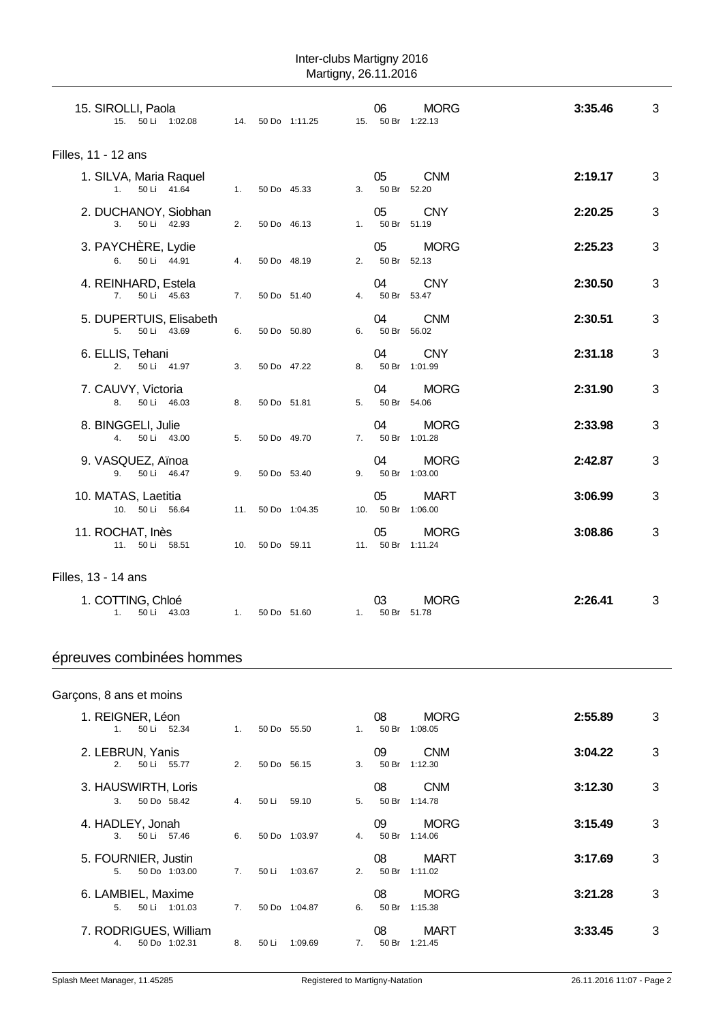Inter-clubs Martigny 2016 Martigny, 26.11.2016

| 15. SIROLLI, Paola<br>15. 50 Li 1:02.08      |                |             | 14. 50 Do 1:11.25 |    | 06<br>15. 50 Br 1:22.13 | <b>MORG</b>                  |  | 3:35.46 | 3 |
|----------------------------------------------|----------------|-------------|-------------------|----|-------------------------|------------------------------|--|---------|---|
| Filles, 11 - 12 ans                          |                |             |                   |    |                         |                              |  |         |   |
| 1. SILVA, Maria Raquel<br>1. 50 Li 41.64     | 1.             |             | 50 Do 45.33       | 3. | 05<br>50 Br 52.20       | <b>CNM</b>                   |  | 2:19.17 | 3 |
| 2. DUCHANOY, Siobhan<br>3.<br>50 Li 42.93    | 2.             |             | 50 Do 46.13       | 1. | 05<br>50 Br 51.19       | <b>CNY</b>                   |  | 2:20.25 | 3 |
| 3. PAYCHÈRE, Lydie<br>50 Li 44.91<br>6.      | 4.             | 50 Do 48.19 |                   | 2. | 05<br>50 Br 52.13       | <b>MORG</b>                  |  | 2:25.23 | 3 |
| 4. REINHARD, Estela<br>50 Li 45.63<br>7.     | 7.             | 50 Do 51.40 |                   | 4. | 04<br>50 Br 53.47       | <b>CNY</b>                   |  | 2:30.50 | 3 |
| 5. DUPERTUIS, Elisabeth<br>50 Li 43.69<br>5. | 6.             | 50 Do 50.80 |                   | 6. | 04<br>50 Br 56.02       | <b>CNM</b>                   |  | 2:30.51 | 3 |
| 6. ELLIS, Tehani<br>2.<br>50 Li 41.97        | 3.             |             | 50 Do 47.22       |    | 04<br>8. 50 Br 1:01.99  | <b>CNY</b>                   |  | 2:31.18 | 3 |
| 7. CAUVY, Victoria<br>50 Li 46.03<br>8.      | 8.             | 50 Do 51.81 |                   |    | 04<br>5. 50 Br 54.06    | <b>MORG</b>                  |  | 2:31.90 | 3 |
| 8. BINGGELI, Julie<br>50 Li 43.00<br>4.      | 5.             |             | 50 Do 49.70       |    | 04<br>7. 50 Br 1:01.28  | <b>MORG</b>                  |  | 2:33.98 | 3 |
| 9. VASQUEZ, Aïnoa<br>50 Li 46.47<br>9.       | 9.             |             | 50 Do 53.40       | 9. | 04                      | <b>MORG</b><br>50 Br 1:03.00 |  | 2:42.87 | 3 |
| 10. MATAS, Laetitia<br>10. 50 Li 56.64       | 11.            |             | 50 Do 1:04.35     |    | 05<br>10. 50 Br 1:06.00 | <b>MART</b>                  |  | 3:06.99 | 3 |
| 11. ROCHAT, Inès<br>11. 50 Li 58.51          | 10.            | 50 Do 59.11 |                   |    | 05<br>11. 50 Br 1:11.24 | <b>MORG</b>                  |  | 3:08.86 | 3 |
| Filles, 13 - 14 ans                          |                |             |                   |    |                         |                              |  |         |   |
| 1. COTTING, Chloé<br>50 Li 43.03<br>1.       | $\mathbf{1}$ . | 50 Do 51.60 |                   | 1. | 03<br>50 Br 51.78       | <b>MORG</b>                  |  | 2:26.41 | 3 |

## épreuves combinées hommes

## Garçons, 8 ans et moins

| 1. REIGNER, Léon<br>50 Li<br>52.34<br>1.     | 50 Do 55.50<br>1.      | <b>MORG</b><br>08<br>50 Br<br>1.<br>1:08.05 | 2:55.89<br>3 |
|----------------------------------------------|------------------------|---------------------------------------------|--------------|
| 2. LEBRUN, Yanis<br>50 Li<br>2.<br>55.77     | 2.<br>50 Do 56.15      | <b>CNM</b><br>09<br>50 Br<br>1:12.30<br>3.  | 3:04.22<br>3 |
| 3. HAUSWIRTH, Loris<br>50 Do 58.42<br>3.     | 4.<br>50 Li<br>59.10   | <b>CNM</b><br>08<br>50 Br<br>5.<br>1:14.78  | 3:12.30<br>3 |
| 4. HADLEY, Jonah<br>50 Li 57.46<br>3.        | 50 Do 1:03.97<br>6.    | <b>MORG</b><br>09<br>50 Br<br>1:14.06<br>4. | 3:15.49<br>3 |
| 5. FOURNIER, Justin<br>50 Do 1:03.00<br>5.   | 7.<br>50 Li<br>1:03.67 | <b>MART</b><br>08<br>50 Br<br>2.<br>1:11.02 | 3:17.69<br>3 |
| 6. LAMBIEL, Maxime<br>5.<br>1:01.03<br>50 Li | 7.<br>50 Do 1:04.87    | <b>MORG</b><br>08<br>6.<br>50 Br<br>1:15.38 | 3:21.28<br>3 |
| 7. RODRIGUES, William<br>50 Do 1:02.31<br>4. | 8.<br>50 Li<br>1:09.69 | <b>MART</b><br>08<br>50 Br<br>7.<br>1:21.45 | 3:33.45<br>3 |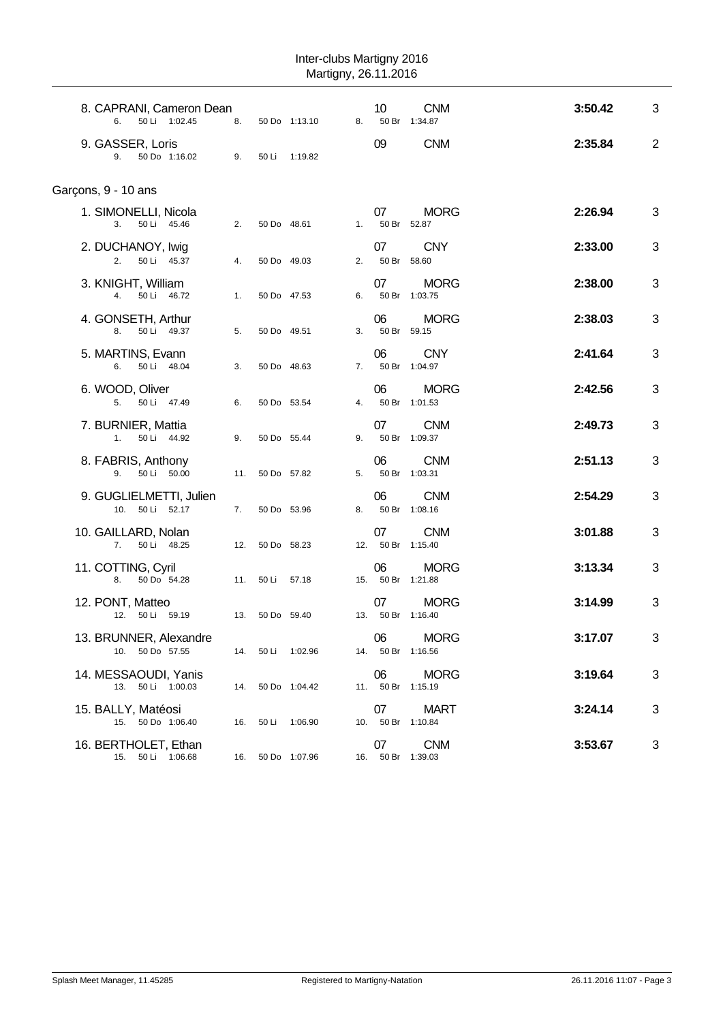Inter-clubs Martigny 2016 Martigny, 26.11.2016

| 8. CAPRANI, Cameron Dean                   |     |                 |                   |    | 10                      | <b>CNM</b>                       | 3:50.42 | 3              |
|--------------------------------------------|-----|-----------------|-------------------|----|-------------------------|----------------------------------|---------|----------------|
| 50 Li 1:02.45<br>6.                        | 8.  |                 | 50 Do 1:13.10     |    |                         | 8. 50 Br 1:34.87                 |         |                |
| 9. GASSER, Loris<br>50 Do 1:16.02<br>9.    | 9.  | 50 Li           | 1:19.82           |    | 09                      | <b>CNM</b>                       | 2:35.84 | $\overline{2}$ |
|                                            |     |                 |                   |    |                         |                                  |         |                |
| Garçons, 9 - 10 ans                        |     |                 |                   |    |                         |                                  |         |                |
| 1. SIMONELLI, Nicola<br>50 Li 45.46<br>3.  | 2.  | 50 Do 48.61     |                   | 1. | 07<br>50 Br 52.87       | <b>MORG</b>                      | 2:26.94 | 3              |
| 2. DUCHANOY, Iwig<br>50 Li 45.37<br>2.     | 4.  |                 | 50 Do 49.03       | 2. | 07                      | <b>CNY</b><br>50 Br 58.60        | 2:33.00 | 3              |
| 3. KNIGHT, William<br>4.<br>50 Li 46.72    | 1.  |                 | 50 Do 47.53       | 6. | 07                      | <b>MORG</b><br>50 Br 1:03.75     | 2:38.00 | 3              |
| 4. GONSETH, Arthur<br>50 Li 49.37<br>8.    | 5.  | 50 Do 49.51     |                   | 3. | 06<br>50 Br 59.15       | <b>MORG</b>                      | 2:38.03 | 3              |
| 5. MARTINS, Evann<br>50 Li 48.04<br>6.     | 3.  |                 | 50 Do 48.63       | 7. | 06                      | <b>CNY</b><br>50 Br 1:04.97      | 2:41.64 | 3              |
| 6. WOOD, Oliver<br>50 Li 47.49<br>5.       | 6.  |                 | 50 Do 53.54       |    | 06                      | <b>MORG</b><br>4. 50 Br 1:01.53  | 2:42.56 | 3              |
| 7. BURNIER, Mattia<br>50 Li 44.92<br>1.    | 9.  |                 | 50 Do 55.44       | 9. | 07                      | <b>CNM</b><br>50 Br 1:09.37      | 2:49.73 | 3              |
| 8. FABRIS, Anthony<br>9.<br>50 Li 50.00    | 11. |                 | 50 Do 57.82       | 5. | 06                      | <b>CNM</b><br>50 Br 1:03.31      | 2:51.13 | 3              |
| 9. GUGLIELMETTI, Julien<br>10. 50 Li 52.17 | 7.  | 50 Do 53.96     |                   | 8. | 06                      | <b>CNM</b><br>50 Br 1:08.16      | 2:54.29 | 3              |
| 10. GAILLARD, Nolan<br>50 Li 48.25<br>7.   | 12. | 50 Do 58.23     |                   |    | 07<br>12. 50 Br 1:15.40 | <b>CNM</b>                       | 3:01.88 | 3              |
| 11. COTTING, Cyril<br>8.<br>50 Do 54.28    |     | 11. 50 Li 57.18 |                   |    | 06<br>15. 50 Br 1:21.88 | <b>MORG</b>                      | 3:13.34 | 3              |
| 12. PONT, Matteo<br>12. 50 Li 59.19        | 13. | 50 Do 59.40     |                   |    | 07                      | <b>MORG</b><br>13. 50 Br 1:16.40 | 3:14.99 | 3              |
| 13. BRUNNER, Alexandre<br>10. 50 Do 57.55  |     |                 | 14. 50 Li 1:02.96 |    |                         | 06 MORG<br>14. 50 Br 1:16.56     | 3:17.07 | 3              |
| 14. MESSAOUDI, Yanis<br>13. 50 Li 1:00.03  |     |                 | 14. 50 Do 1:04.42 |    | 06<br>11. 50 Br 1:15.19 | <b>MORG</b>                      | 3:19.64 | 3              |
| 15. BALLY, Matéosi<br>15. 50 Do 1:06.40    | 16. |                 | 50 Li 1:06.90     |    | 07                      | <b>MART</b><br>10. 50 Br 1:10.84 | 3:24.14 | 3              |
| 16. BERTHOLET, Ethan<br>15. 50 Li 1:06.68  |     |                 | 16. 50 Do 1:07.96 |    | 07<br>16. 50 Br 1:39.03 | <b>CNM</b>                       | 3:53.67 | 3              |